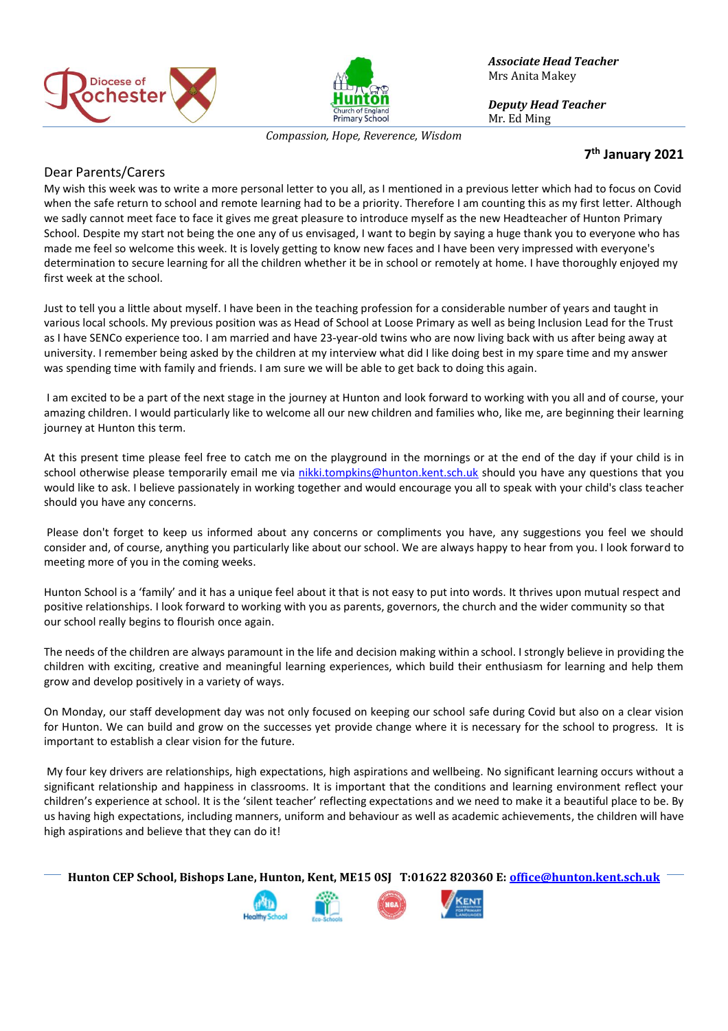



*Associate Head Teacher* Mrs Anita Makey

*Deputy Head Teacher* Mr. Ed Ming

*Compassion, Hope, Reverence, Wisdom*

## **7 th January 2021**

## Dear Parents/Carers

My wish this week was to write a more personal letter to you all, as I mentioned in a previous letter which had to focus on Covid when the safe return to school and remote learning had to be a priority. Therefore I am counting this as my first letter. Although we sadly cannot meet face to face it gives me great pleasure to introduce myself as the new Headteacher of Hunton Primary School. Despite my start not being the one any of us envisaged, I want to begin by saying a huge thank you to everyone who has made me feel so welcome this week. It is lovely getting to know new faces and I have been very impressed with everyone's determination to secure learning for all the children whether it be in school or remotely at home. I have thoroughly enjoyed my first week at the school.

Just to tell you a little about myself. I have been in the teaching profession for a considerable number of years and taught in various local schools. My previous position was as Head of School at Loose Primary as well as being Inclusion Lead for the Trust as I have SENCo experience too. I am married and have 23-year-old twins who are now living back with us after being away at university. I remember being asked by the children at my interview what did I like doing best in my spare time and my answer was spending time with family and friends. I am sure we will be able to get back to doing this again.

I am excited to be a part of the next stage in the journey at Hunton and look forward to working with you all and of course, your amazing children. I would particularly like to welcome all our new children and families who, like me, are beginning their learning journey at Hunton this term.

At this present time please feel free to catch me on the playground in the mornings or at the end of the day if your child is in school otherwise please temporarily email me via [nikki.tompkins@hunton.kent.sch.uk](mailto:nikki.tompkins@hunton.kent.sch.uk) should you have any questions that you would like to ask. I believe passionately in working together and would encourage you all to speak with your child's class teacher should you have any concerns.

Please don't forget to keep us informed about any concerns or compliments you have, any suggestions you feel we should consider and, of course, anything you particularly like about our school. We are always happy to hear from you. I look forward to meeting more of you in the coming weeks.

Hunton School is a 'family' and it has a unique feel about it that is not easy to put into words. It thrives upon mutual respect and positive relationships. I look forward to working with you as parents, governors, the church and the wider community so that our school really begins to flourish once again.

The needs of the children are always paramount in the life and decision making within a school. I strongly believe in providing the children with exciting, creative and meaningful learning experiences, which build their enthusiasm for learning and help them grow and develop positively in a variety of ways.

On Monday, our staff development day was not only focused on keeping our school safe during Covid but also on a clear vision for Hunton. We can build and grow on the successes yet provide change where it is necessary for the school to progress. It is important to establish a clear vision for the future.

My four key drivers are relationships, high expectations, high aspirations and wellbeing. No significant learning occurs without a significant relationship and happiness in classrooms. It is important that the conditions and learning environment reflect your children's experience at school. It is the 'silent teacher' reflecting expectations and we need to make it a beautiful place to be. By us having high expectations, including manners, uniform and behaviour as well as academic achievements, the children will have high aspirations and believe that they can do it!

**Hunton CEP School, Bishops Lane, Hunton, Kent, ME15 0SJ T:01622 820360 E[: office@hunton.kent.sch.uk](mailto:office@hunton.kent.sch.uk)**